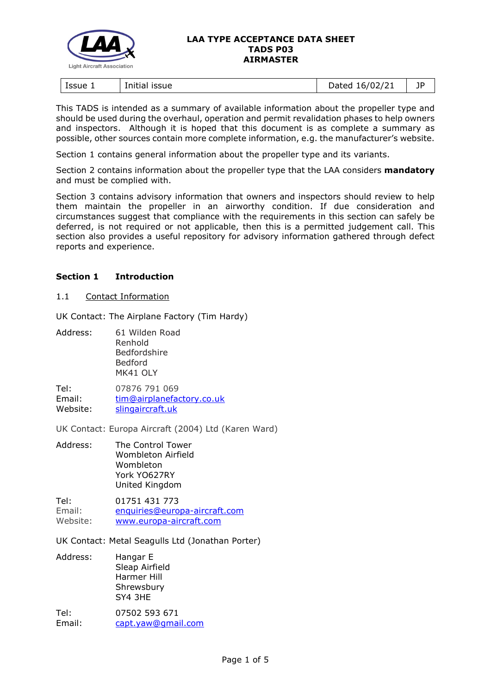

| lssue 1<br>issue<br>Initial | $-0.16/02^{12}$<br>hatan<br>. .<br>121<br>$\sim$ | --<br>יי<br>- 1 |
|-----------------------------|--------------------------------------------------|-----------------|
|-----------------------------|--------------------------------------------------|-----------------|

This TADS is intended as a summary of available information about the propeller type and should be used during the overhaul, operation and permit revalidation phases to help owners and inspectors. Although it is hoped that this document is as complete a summary as possible, other sources contain more complete information, e.g. the manufacturer's website.

Section 1 contains general information about the propeller type and its variants.

Section 2 contains information about the propeller type that the LAA considers **mandatory** and must be complied with.

Section 3 contains advisory information that owners and inspectors should review to help them maintain the propeller in an airworthy condition. If due consideration and circumstances suggest that compliance with the requirements in this section can safely be deferred, is not required or not applicable, then this is a permitted judgement call. This section also provides a useful repository for advisory information gathered through defect reports and experience.

# **Section 1 Introduction**

## 1.1 Contact Information

UK Contact: The Airplane Factory (Tim Hardy)

Address: 61 Wilden Road Renhold Bedfordshire Bedford MK41 OLY

Tel: 07876 791 069 Email: [tim@airplanefactory.co.uk](mailto:tim@airplanefactory.co.uk) Website: [slingaircraft.uk](https://slingaircraft.uk/)

UK Contact: Europa Aircraft (2004) Ltd (Karen Ward)

Address: The Control Tower Wombleton Airfield Wombleton York YO627RY United Kingdom

Tel: 01751 431 773 Email: [enquiries@europa-aircraft.com](mailto:enquiries@europa-aircraft.com) Website: [www.europa-aircraft.com](http://www.europa-aircraft.com/)

UK Contact: Metal Seagulls Ltd (Jonathan Porter)

Address: Hangar E Sleap Airfield Harmer Hill Shrewsbury SY4 3HE

Tel: 07502 593 671 Email: [capt.yaw@gmail.com](mailto:capt.yaw@gmail.com)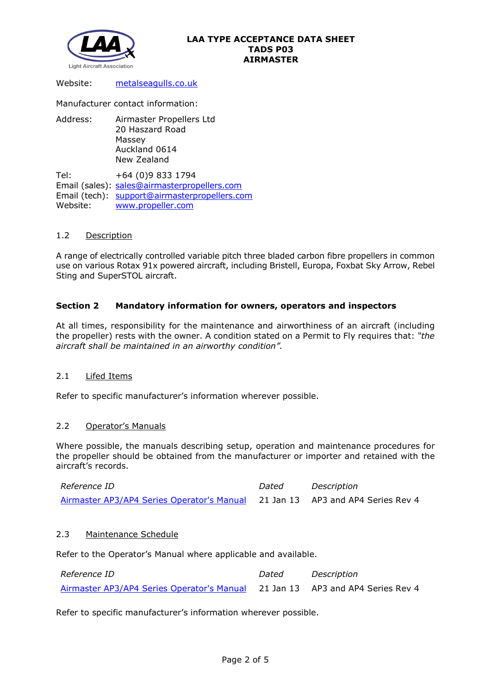

Website: [metalseagulls.co.uk](http://metalseagulls.co.uk/)

Manufacturer contact information:

Address: Airmaster Propellers Ltd 20 Haszard Road Massey Auckland 0614 New Zealand

Tel: +64 (0)9 833 1794 Email (sales): sales@airmasterpropellers.com Email (tech): [support@airmasterpropellers.com](mailto:support@airmasterpropellers.com) Website: [www.propeller.com](http://www.propeller.com/)

# 1.2 Description

A range of electrically controlled variable pitch three bladed carbon fibre propellers in common use on various Rotax 91x powered aircraft, including Bristell, Europa, Foxbat Sky Arrow, Rebel Sting and SuperSTOL aircraft.

# **Section 2 Mandatory information for owners, operators and inspectors**

At all times, responsibility for the maintenance and airworthiness of an aircraft (including the propeller) rests with the owner. A condition stated on a Permit to Fly requires that: *"the aircraft shall be maintained in an airworthy condition".* 

## 2.1 Lifed Items

Refer to specific manufacturer's information wherever possible.

## 2.2 Operator's Manuals

Where possible, the manuals describing setup, operation and maintenance procedures for the propeller should be obtained from the manufacturer or importer and retained with the aircraft's records.

| <i>Reference ID</i>                                                           | Dated | Description |
|-------------------------------------------------------------------------------|-------|-------------|
| Airmaster AP3/AP4 Series Operator's Manual 21 Jan 13 AP3 and AP4 Series Rev 4 |       |             |

## 2.3 Maintenance Schedule

Refer to the Operator's Manual where applicable and available.

| Reference ID                                                                  | Dated | Description |
|-------------------------------------------------------------------------------|-------|-------------|
| Airmaster AP3/AP4 Series Operator's Manual 21 Jan 13 AP3 and AP4 Series Rev 4 |       |             |

Refer to specific manufacturer's information wherever possible.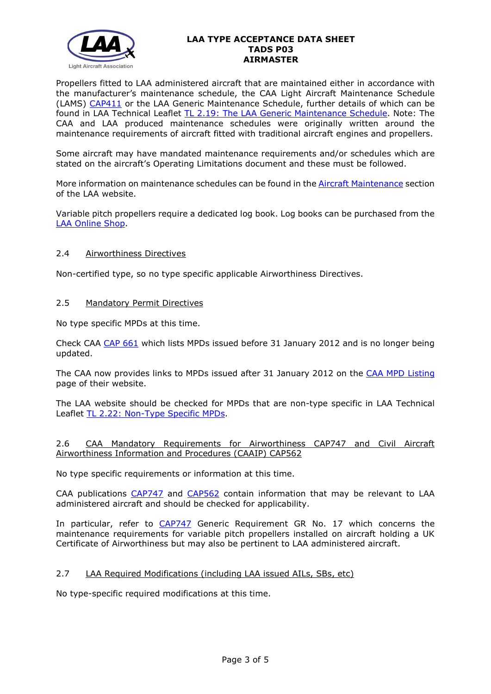

Propellers fitted to LAA administered aircraft that are maintained either in accordance with the manufacturer's maintenance schedule, the CAA Light Aircraft Maintenance Schedule (LAMS) [CAP411](http://www.caa.co.uk/CAP411) or the LAA Generic Maintenance Schedule, further details of which can be found in LAA Technical Leaflet [TL 2.19: The LAA Generic Maintenance Schedule.](http://www.lightaircraftassociation.co.uk/engineering/TechnicalLeaflets/Operating%20An%20Aircraft/TL%202.19%20The%20LAA%20Generic%20Maintenance%20Schedule.pdf) Note: The CAA and LAA produced maintenance schedules were originally written around the maintenance requirements of aircraft fitted with traditional aircraft engines and propellers.

Some aircraft may have mandated maintenance requirements and/or schedules which are stated on the aircraft's Operating Limitations document and these must be followed.

More information on maintenance schedules can be found in the **Aircraft Maintenance** section of the LAA website.

Variable pitch propellers require a dedicated log book. Log books can be purchased from the [LAA Online Shop.](https://services.lightaircraftassociation.co.uk/catalog/265)

# 2.4 Airworthiness Directives

Non-certified type, so no type specific applicable Airworthiness Directives.

# 2.5 Mandatory Permit Directives

No type specific MPDs at this time.

Check CAA [CAP 661](http://www.caa.co.uk/application.aspx?catid=33&pagetype=65&appid=11&mode=detail&id=215) which lists MPDs issued before 31 January 2012 and is no longer being updated.

The CAA now provides links to MPDs issued after 31 January 2012 on the [CAA MPD Listing](http://publicapps.caa.co.uk/modalapplication.aspx?appid=11&mode=list&type=sercat&id=55) page of their website.

The LAA website should be checked for MPDs that are non-type specific in LAA Technical Leaflet [TL 2.22: Non-Type Specific MPDs.](http://www.lightaircraftassociation.co.uk/engineering/TechnicalLeaflets/Operating%20An%20Aircraft/TL%202.22%20non-type%20specific%20MPDs.pdf)

## 2.6 CAA Mandatory Requirements for Airworthiness CAP747 and Civil Aircraft Airworthiness Information and Procedures (CAAIP) CAP562

No type specific requirements or information at this time.

CAA publications [CAP747](http://www.caa.co.uk/CAP747) and [CAP562](http://www.caa.co.uk/CAP562) contain information that may be relevant to LAA administered aircraft and should be checked for applicability.

In particular, refer to [CAP747](http://www.caa.co.uk/CAP747) Generic Requirement GR No. 17 which concerns the maintenance requirements for variable pitch propellers installed on aircraft holding a UK Certificate of Airworthiness but may also be pertinent to LAA administered aircraft.

# 2.7 LAA Required Modifications (including LAA issued AILs, SBs, etc)

No type-specific required modifications at this time.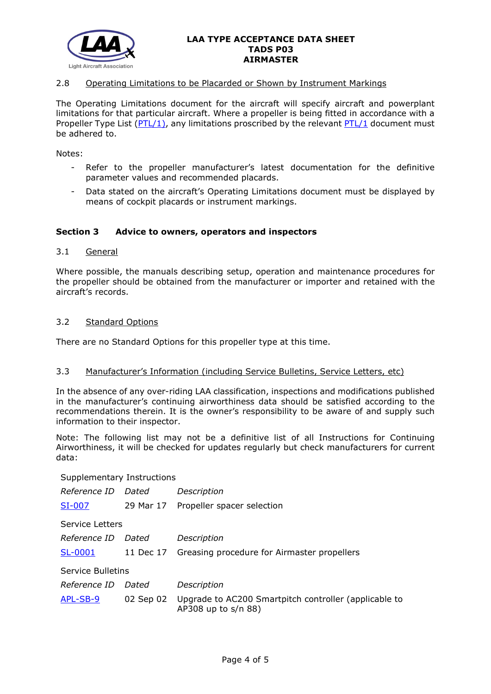

## 2.8 Operating Limitations to be Placarded or Shown by Instrument Markings

The Operating Limitations document for the aircraft will specify aircraft and powerplant limitations for that particular aircraft. Where a propeller is being fitted in accordance with a Propeller Type List [\(PTL/1\)](http://www.lightaircraftassociation.co.uk/engineering/NewMods/PTL.html), any limitations proscribed by the relevant [PTL/1](http://www.lightaircraftassociation.co.uk/engineering/NewMods/PTL.html) document must be adhered to.

Notes:

- Refer to the propeller manufacturer's latest documentation for the definitive parameter values and recommended placards.
- Data stated on the aircraft's Operating Limitations document must be displayed by means of cockpit placards or instrument markings.

## **Section 3 Advice to owners, operators and inspectors**

#### 3.1 General

Where possible, the manuals describing setup, operation and maintenance procedures for the propeller should be obtained from the manufacturer or importer and retained with the aircraft's records.

#### 3.2 Standard Options

There are no Standard Options for this propeller type at this time.

#### 3.3 Manufacturer's Information (including Service Bulletins, Service Letters, etc)

In the absence of any over-riding LAA classification, inspections and modifications published in the manufacturer's continuing airworthiness data should be satisfied according to the recommendations therein. It is the owner's responsibility to be aware of and supply such information to their inspector.

Note: The following list may not be a definitive list of all Instructions for Continuing Airworthiness, it will be checked for updates regularly but check manufacturers for current data:

Supplementary Instructions

| <i>Reference ID</i> | Dated     | Description                                                                  |  |  |
|---------------------|-----------|------------------------------------------------------------------------------|--|--|
| SI-007              |           | 29 Mar 17 Propeller spacer selection                                         |  |  |
| Service Letters     |           |                                                                              |  |  |
| <i>Reference ID</i> | Dated     | Description                                                                  |  |  |
| SL-0001             |           | 11 Dec 17 Greasing procedure for Airmaster propellers                        |  |  |
| Service Bulletins   |           |                                                                              |  |  |
| Reference ID        | Dated     | Description                                                                  |  |  |
| APL-SB-9            | 02 Sep 02 | Upgrade to AC200 Smartpitch controller (applicable to<br>AP308 up to s/n 88) |  |  |